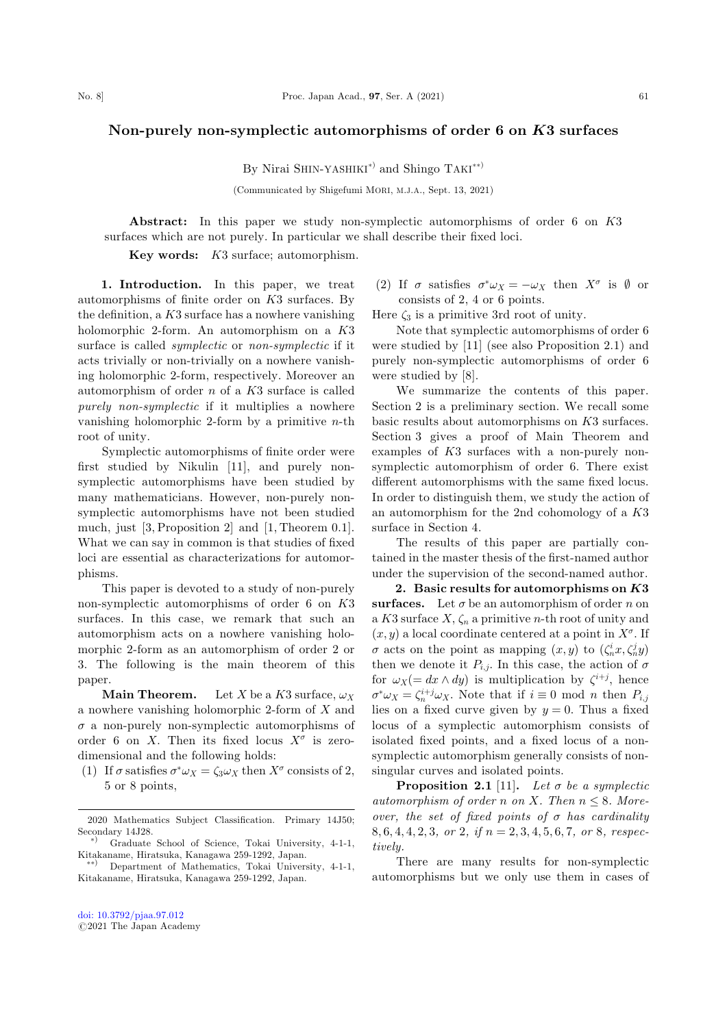## Non-purely non-symplectic automorphisms of order 6 on K3 surfaces

By Nirai SHIN-YASHIKI<sup>\*)</sup> and Shingo TAKI<sup>\*\*)</sup>

(Communicated by Shigefumi MORI, M.J.A., Sept. 13, 2021)

Abstract: In this paper we study non-symplectic automorphisms of order 6 on K3 surfaces which are not purely. In particular we shall describe their fixed loci.

Key words: K3 surface; automorphism.

1. Introduction. In this paper, we treat automorphisms of finite order on K3 surfaces. By the definition, a  $K3$  surface has a nowhere vanishing holomorphic 2-form. An automorphism on a K3 surface is called *symplectic* or *non-symplectic* if it acts trivially or non-trivially on a nowhere vanishing holomorphic 2-form, respectively. Moreover an automorphism of order  $n$  of a  $K3$  surface is called purely non-symplectic if it multiplies a nowhere vanishing holomorphic 2-form by a primitive  $n$ -th root of unity.

Symplectic automorphisms of finite order were first studied by Nikulin [11], and purely nonsymplectic automorphisms have been studied by many mathematicians. However, non-purely nonsymplectic automorphisms have not been studied much, just [3, Proposition 2] and [1, Theorem 0.1]. What we can say in common is that studies of fixed loci are essential as characterizations for automorphisms.

This paper is devoted to a study of non-purely non-symplectic automorphisms of order 6 on K3 surfaces. In this case, we remark that such an automorphism acts on a nowhere vanishing holomorphic 2-form as an automorphism of order 2 or 3. The following is the main theorem of this paper.

**Main Theorem.** Let X be a K3 surface,  $\omega_X$ a nowhere vanishing holomorphic 2-form of X and  $\sigma$  a non-purely non-symplectic automorphisms of order 6 on X. Then its fixed locus  $X^{\sigma}$  is zerodimensional and the following holds:

(1) If  $\sigma$  satisfies  $\sigma^* \omega_X = \zeta_3 \omega_X$  then  $X^{\sigma}$  consists of 2, 5 or 8 points,

(2) If  $\sigma$  satisfies  $\sigma^* \omega_X = -\omega_X$  then  $X^{\sigma}$  is  $\emptyset$  or consists of 2, 4 or 6 points.

Here  $\zeta_3$  is a primitive 3rd root of unity.

Note that symplectic automorphisms of order 6 were studied by [11] (see also Proposition 2.1) and purely non-symplectic automorphisms of order 6 were studied by [8].

We summarize the contents of this paper. Section 2 is a preliminary section. We recall some basic results about automorphisms on K3 surfaces. Section 3 gives a proof of Main Theorem and examples of K3 surfaces with a non-purely nonsymplectic automorphism of order 6. There exist different automorphisms with the same fixed locus. In order to distinguish them, we study the action of an automorphism for the 2nd cohomology of a K3 surface in Section 4.

The results of this paper are partially contained in the master thesis of the first-named author under the supervision of the second-named author.

2. Basic results for automorphisms on K3 surfaces. Let  $\sigma$  be an automorphism of order n on a K3 surface  $X, \zeta_n$  a primitive *n*-th root of unity and  $(x, y)$  a local coordinate centered at a point in  $X^{\sigma}$ . If  $\sigma$  acts on the point as mapping  $(x, y)$  to  $(\zeta_n^i x, \zeta_n^j y)$ then we denote it  $P_{i,j}$ . In this case, the action of  $\sigma$ for  $\omega_X (= dx \wedge dy)$  is multiplication by  $\zeta^{i+j}$ , hence  $\sigma^* \omega_X = \zeta_n^{i+j} \omega_X$ . Note that if  $i \equiv 0 \mod n$  then  $P_{i,j}$ lies on a fixed curve given by  $y = 0$ . Thus a fixed locus of a symplectic automorphism consists of isolated fixed points, and a fixed locus of a nonsymplectic automorphism generally consists of nonsingular curves and isolated points.

**Proposition 2.1** [11]. Let  $\sigma$  be a symplectic automorphism of order n on X. Then  $n \leq 8$ . Moreover, the set of fixed points of  $\sigma$  has cardinality 8, 6, 4, 4, 2, 3, or 2, if  $n = 2, 3, 4, 5, 6, 7$ , or 8, respectively.

There are many results for non-symplectic automorphisms but we only use them in cases of

<sup>2020</sup> Mathematics Subject Classification. Primary 14J50; Secondary 14J28.

<sup>Þ</sup> Graduate School of Science, Tokai University, 4-1-1, Kitakaname, Hiratsuka, Kanagawa 259-1292, Japan. -

<sup>\*)</sup> Department of Mathematics, Tokai University, 4-1-1, Kitakaname, Hiratsuka, Kanagawa 259-1292, Japan.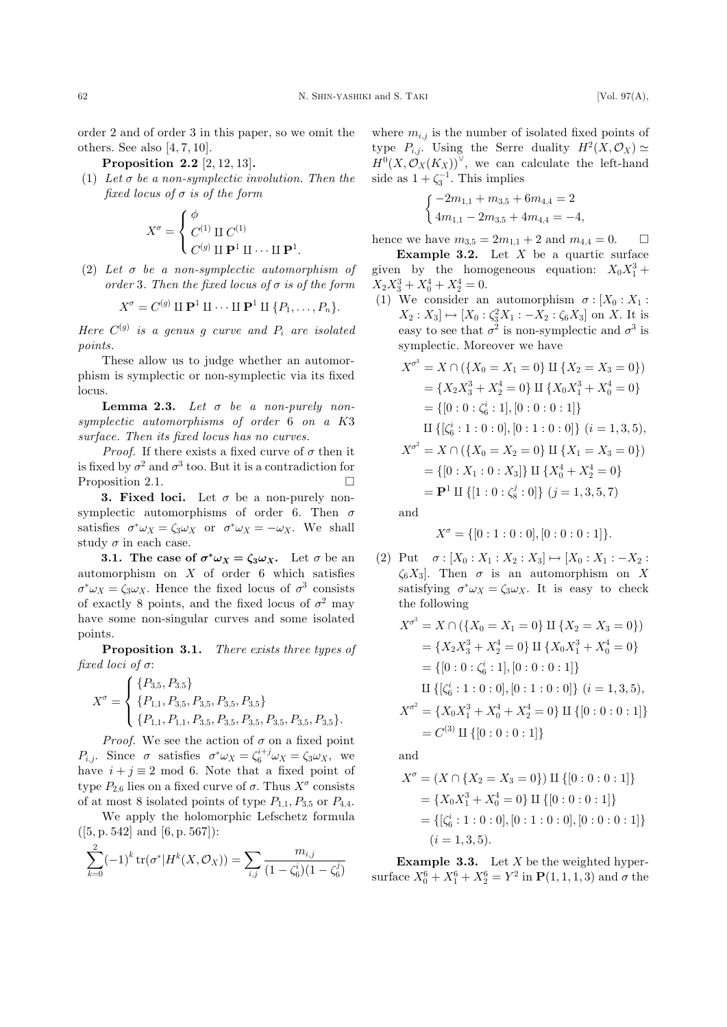order 2 and of order 3 in this paper, so we omit the others. See also  $[4, 7, 10]$ .

Proposition 2.2 [2, 12, 13].

 $(1)$  Let  $\sigma$  be a non-symplectic involution. Then the fixed locus of  $\sigma$  is of the form

$$
X^{\sigma} = \begin{cases} \phi \\ C^{(1)} \amalg C^{(1)} \\ C^{(g)} \amalg \mathbf{P}^1 \amalg \cdots \amalg \mathbf{P}^1. \end{cases}
$$

(2) Let  $\sigma$  be a non-symplectic automorphism of order 3. Then the fixed locus of  $\sigma$  is of the form

$$
X^{\sigma}=C^{(g)}\amalg \mathbf{P}^1\amalg \cdots \amalg \mathbf{P}^1\amalg \{P_1,\ldots,P_n\}.
$$

Here  $C^{(g)}$  is a genus g curve and  $P_i$  are isolated points.

These allow us to judge whether an automorphism is symplectic or non-symplectic via its fixed locus.

**Lemma 2.3.** Let  $\sigma$  be a non-purely nonsymplectic automorphisms of order 6 on a K3 surface. Then its fixed locus has no curves.

*Proof.* If there exists a fixed curve of  $\sigma$  then it is fixed by  $\sigma^2$  and  $\sigma^3$  too. But it is a contradiction for Proposition 2.1.  $\Box$ 

**3. Fixed loci.** Let  $\sigma$  be a non-purely nonsymplectic automorphisms of order 6. Then  $\sigma$ satisfies  $\sigma^* \omega_X = \zeta_3 \omega_X$  or  $\sigma^* \omega_X = -\omega_X$ . We shall study  $\sigma$  in each case.

**3.1.** The case of  $\sigma^* \omega_X = \zeta_3 \omega_X$ . Let  $\sigma$  be an automorphism on  $X$  of order 6 which satisfies  $\sigma^* \omega_X = \zeta_3 \omega_X$ . Hence the fixed locus of  $\sigma^3$  consists of exactly 8 points, and the fixed locus of  $\sigma^2$  may have some non-singular curves and some isolated points.

Proposition 3.1. There exists three types of fixed loci of  $\sigma$ :

$$
X^{\sigma} = \begin{cases} \{P_{3,5}, P_{3,5}\} \\ \{P_{1,1}, P_{3,5}, P_{3,5}, P_{3,5}, P_{3,5}\} \\ \{P_{1,1}, P_{1,1}, P_{3,5}, P_{3,5}, P_{3,5}, P_{3,5}, P_{3,5}, P_{3,5}\} .\end{cases}
$$

*Proof.* We see the action of  $\sigma$  on a fixed point  $P_{i,j}$ . Since  $\sigma$  satisfies  $\sigma^* \omega_X = \zeta_6^{i+j} \omega_X = \zeta_3 \omega_X$ , we have  $i + j \equiv 2 \mod 6$ . Note that a fixed point of type  $P_{2,6}$  lies on a fixed curve of  $\sigma$ . Thus  $X^{\sigma}$  consists of at most 8 isolated points of type  $P_{1,1}, P_{3,5}$  or  $P_{4,4}.$ 

We apply the holomorphic Lefschetz formula  $([5, p. 542] \text{ and } [6, p. 567])$ :  $\frac{2}{\sqrt{2}}$  $k=0$  $(-1)^k \text{tr}(\sigma^* | H^k(X, \mathcal{O}_X)) = \sum$  $_{i,j}$  $m_{i,j}$  $(1-\zeta_6^i)(1-\zeta_6^j)$ 

where  $m_{i,j}$  is the number of isolated fixed points of type  $P_{i,j}$ . Using the Serre duality  $H^2(X, \mathcal{O}_X) \simeq$  $H^0(X,\mathcal{O}_X(K_X))^\vee$ , we can calculate the left-hand side as  $1 + \zeta_3^{-1}$ . This implies

$$
\begin{cases}\n-2m_{1,1} + m_{3,5} + 6m_{4,4} = 2 \\
4m_{1,1} - 2m_{3,5} + 4m_{4,4} = -4,\n\end{cases}
$$

hence we have  $m_{3,5} = 2m_{1,1} + 2$  and  $m_{4,4} = 0$ .  $\Box$ **Example 3.2.** Let  $X$  be a quartic surface

given by the homogeneous equation:  $X_0 X_1^3 +$  $X_2 X_3^3 + X_0^4 + X_2^4 = 0.$ 

(1) We consider an automorphism  $\sigma$  :  $[X_0 : X_1 :$  $X_2: X_3 \rightarrow [X_0: \zeta_3^2 X_1: -X_2: \zeta_6 X_3]$  on X. It is easy to see that  $\sigma^2$  is non-symplectic and  $\sigma^3$  is symplectic. Moreover we have

$$
X^{\sigma^3} = X \cap (\{X_0 = X_1 = 0\} \amalg \{X_2 = X_3 = 0\})
$$
  
= { $X_2 X_3^3 + X_2^4 = 0$ } \amalg { $X_0 X_1^3 + X_0^4 = 0$ }  
= {[0 : 0 :  $\zeta_6^i : 1$ ], [0 : 0 : 0 : 1]}  
\amalg {[ $\zeta_6^i : 1 : 0 : 0$ ], [0 : 1 : 0 : 0]} (i = 1, 3, 5),  
\n $X^{\sigma^2} = X \cap ({X_0 = X_2 = 0} \amalg {X_1 = X_3 = 0})$   
= {[0 :  $X_1 : 0 : X_3$ ]} \amalg { $X_0^4 + X_2^4 = 0$ }  
=  $\mathbf{P}^1 \amalg \{ [1 : 0 : \zeta_8^j : 0] \} (j = 1, 3, 5, 7)$ 

and

$$
X^{\sigma} = \{ [0:1:0:0], [0:0:0:1] \}.
$$

(2) Put  $\sigma : [X_0 : X_1 : X_2 : X_3] \mapsto [X_0 : X_1 : -X_2 :$  $\zeta_6 X_3$ . Then  $\sigma$  is an automorphism on X satisfying  $\sigma^* \omega_X = \zeta_3 \omega_X$ . It is easy to check the following

$$
X^{\sigma^3} = X \cap (\{X_0 = X_1 = 0\} \amalg \{X_2 = X_3 = 0\})
$$
  
=  $\{X_2 X_3^3 + X_2^4 = 0\} \amalg \{X_0 X_1^3 + X_0^4 = 0\}$   
=  $\{[0:0:\zeta_6^i:1], [0:0:0:1]\}$   

$$
\amalg \{[\zeta_6^i:1:0:0], [0:1:0:0]\} \ (i = 1,3,5),
$$
  

$$
X^{\sigma^2} = \{X_0 X_1^3 + X_0^4 + X_2^4 = 0\} \amalg \{[0:0:0:1]\}
$$
  
=  $C^{(3)} \amalg \{[0:0:0:1]\}$ 

and

$$
X^{\sigma} = (X \cap \{X_2 = X_3 = 0\}) \amalg \{ [0:0:0:1] \}
$$
  
= { $X_0 X_1^3 + X_0^4 = 0$ } \amalg \{ [0:0:0:1] \}  
= { [ $\zeta_6^i : 1:0:0$ ], [0:1:0:0], [0:0:0:1] }  
( $i = 1, 3, 5$ ).

**Example 3.3.** Let  $X$  be the weighted hypersurface  $X_0^6 + X_1^6 + X_2^6 = Y^2$  in  $P(1, 1, 1, 3)$  and  $\sigma$  the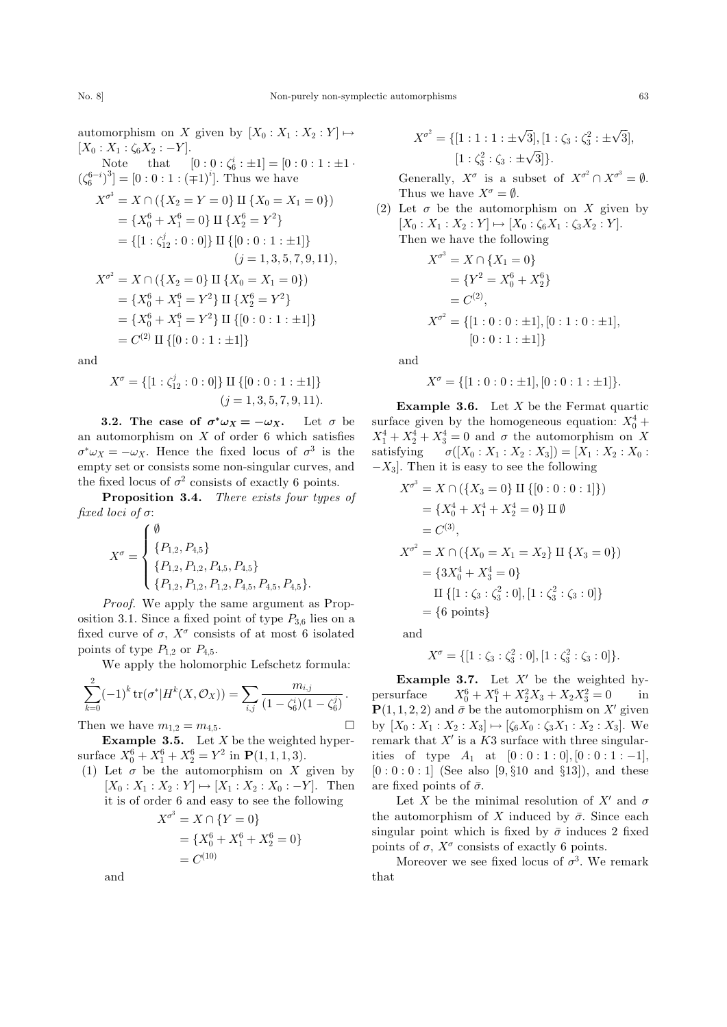automorphism on X given by  $[X_0 : X_1 : X_2 : Y] \mapsto$  $[X_0 : X_1 : \zeta_6 X_2 : -Y].$ Note that  $[0:0:\zeta_6^i:\pm 1] = [0:0:1:\pm 1$ .  $(\zeta_6^{6-i})^3$  = [0 : 0 : 1 :  $(\mp 1)^i$ ]. Thus we have  $X^{\sigma^3} = X \cap (\{X_2 = Y = 0\} \amalg \{X_0 = X_1 = 0\})$  $=\{X_0^6+X_1^6=0\}\amalg \{X_2^6=Y^2\}$  $=\{[1:\zeta_{12}^j:0:0]\}\amalg \{[0:0:1:\pm 1]\}$  $(j = 1, 3, 5, 7, 9, 11)$ ,  $X^{\sigma^2} = X \cap (\{X_2 = 0\} \amalg \{X_0 = X_1 = 0\})$  $=\{X_0^6+X_1^6=Y^2\}$  II  $\{X_2^6=Y^2\}$  $=\{X_0^6+X_1^6=Y^2\}$  II  $\{[0:0:1:\pm 1]\}$  $=C^{(2)} \amalg \{[0:0:1:\pm 1]\}$ 

and

$$
X^{\sigma} = \{ [1 : \zeta_{12}^{j} : 0 : 0] \} \amalg \{ [0 : 0 : 1 : \pm 1] \}
$$
  
(j = 1, 3, 5, 7, 9, 11).

**3.2.** The case of  $\sigma^* \omega_X = -\omega_X$ . Let  $\sigma$  be an automorphism on  $X$  of order 6 which satisfies  $\sigma^* \omega_X = -\omega_X$ . Hence the fixed locus of  $\sigma^3$  is the empty set or consists some non-singular curves, and the fixed locus of  $\sigma^2$  consists of exactly 6 points.

Proposition 3.4. There exists four types of fixed loci of  $\sigma$ :

$$
X^{\sigma} = \begin{cases} \emptyset \\ \{P_{1,2}, P_{4,5}\} \\ \{P_{1,2}, P_{1,2}, P_{4,5}, P_{4,5}\} \\ \{P_{1,2}, P_{1,2}, P_{1,2}, P_{4,5}, P_{4,5}, P_{4,5}\}. \end{cases}
$$

Proof. We apply the same argument as Proposition 3.1. Since a fixed point of type  $P_{3,6}$  lies on a fixed curve of  $\sigma$ ,  $X^{\sigma}$  consists of at most 6 isolated points of type  $P_{1,2}$  or  $P_{4,5}$ .

We apply the holomorphic Lefschetz formula:

$$
\sum_{k=0}^{2} (-1)^{k} \operatorname{tr}(\sigma^{*} | H^{k}(X, \mathcal{O}_{X})) = \sum_{i,j} \frac{m_{i,j}}{(1 - \zeta_{6}^{i})(1 - \zeta_{6}^{j})}.
$$

Then we have  $m_{1,2} = m_{4,5}$ .

**Example 3.5.** Let  $X$  be the weighted hypersurface  $X_0^6 + X_1^6 + X_2^6 = Y^2$  in  $\mathbf{P}(1, 1, 1, 3)$ .

(1) Let  $\sigma$  be the automorphism on X given by  $[X_0 : X_1 : X_2 : Y] \mapsto [X_1 : X_2 : X_0 : -Y].$  Then it is of order 6 and easy to see the following

$$
X^{\sigma^3} = X \cap \{Y = 0\}
$$
  
=  $\{X_0^6 + X_1^6 + X_2^6 = 0\}$   
=  $C^{(10)}$ 

and

$$
X^{\sigma^2} = \{ [1:1:1:\pm\sqrt{3}], [1:\zeta_3:\zeta_3^2:\pm\sqrt{3}], \\ [1:\zeta_3^2:\zeta_3:\pm\sqrt{3}] \}.
$$

Generally,  $X^{\sigma}$  is a subset of  $X^{\sigma^2} \cap X^{\sigma^3} = \emptyset$ . Thus we have  $X^{\sigma} = \emptyset$ .

(2) Let  $\sigma$  be the automorphism on X given by  $[X_0 : X_1 : X_2 : Y] \mapsto [X_0 : \zeta_6 X_1 : \zeta_3 X_2 : Y].$ Then we have the following

$$
X^{\sigma^3} = X \cap \{X_1 = 0\}
$$
  
=  $\{Y^2 = X_0^6 + X_2^6\}$   
=  $C^{(2)}$ ,  

$$
X^{\sigma^2} = \{[1:0:0:\pm 1], [0:1:0:\pm 1],
$$

$$
[0:0:1:\pm 1]\}
$$

and

$$
X^{\sigma} = \{ [1:0:0:\pm 1], [0:0:1:\pm 1] \}.
$$

**Example 3.6.** Let  $X$  be the Fermat quartic surface given by the homogeneous equation:  $X_0^4$  +  $X_1^4 + X_2^4 + X_3^4 = 0$  and  $\sigma$  the automorphism on X satisfying  $\sigma([X_0 : X_1 : X_2 : X_3]) = [X_1 : X_2 : X_0 :$  $-X_3$ . Then it is easy to see the following

$$
X^{\sigma^3} = X \cap (\{X_3 = 0\} \amalg \{ [0:0:0:1] \})
$$
  
=  $\{X_0^4 + X_1^4 + X_2^4 = 0\} \amalg \emptyset$   
=  $C^{(3)}$ ,  

$$
X^{\sigma^2} = X \cap (\{X_0 = X_1 = X_2\} \amalg \{X_3 = 0\})
$$
  
=  $\{3X_0^4 + X_3^4 = 0\}$   

$$
\amalg \{ [1: \zeta_3 : \zeta_3^2 : 0], [1: \zeta_3^2 : \zeta_3 : 0] \}
$$
  
=  $\{6 \text{ points}\}$ 

and

 $\Box$ 

$$
X^{\sigma} = \{ [1 : \zeta_3 : \zeta_3^2 : 0], [1 : \zeta_3^2 : \zeta_3 : 0] \}.
$$

**Example 3.7.** Let  $X'$  be the weighted hypersurface  $S_0^6 + X_1^6 + X_2^2 X_3 + X_2 X_3^2 = 0$  in  $\mathbf{P}(1,1,2,2)$  and  $\bar{\sigma}$  be the automorphism on X' given by  $[X_0 : X_1 : X_2 : X_3] \mapsto [\zeta_6 X_0 : \zeta_3 X_1 : X_2 : X_3]$ . We remark that  $X'$  is a K3 surface with three singularities of type  $A_1$  at  $[0:0:1:0], [0:0:1:-1],$  $[0:0:0:1]$  (See also  $[9, §10$  and §13]), and these are fixed points of  $\bar{\sigma}$ .

Let X be the minimal resolution of  $X'$  and  $\sigma$ the automorphism of X induced by  $\bar{\sigma}$ . Since each singular point which is fixed by  $\bar{\sigma}$  induces 2 fixed points of  $\sigma$ ,  $X^{\sigma}$  consists of exactly 6 points.

Moreover we see fixed locus of  $\sigma^3$ . We remark that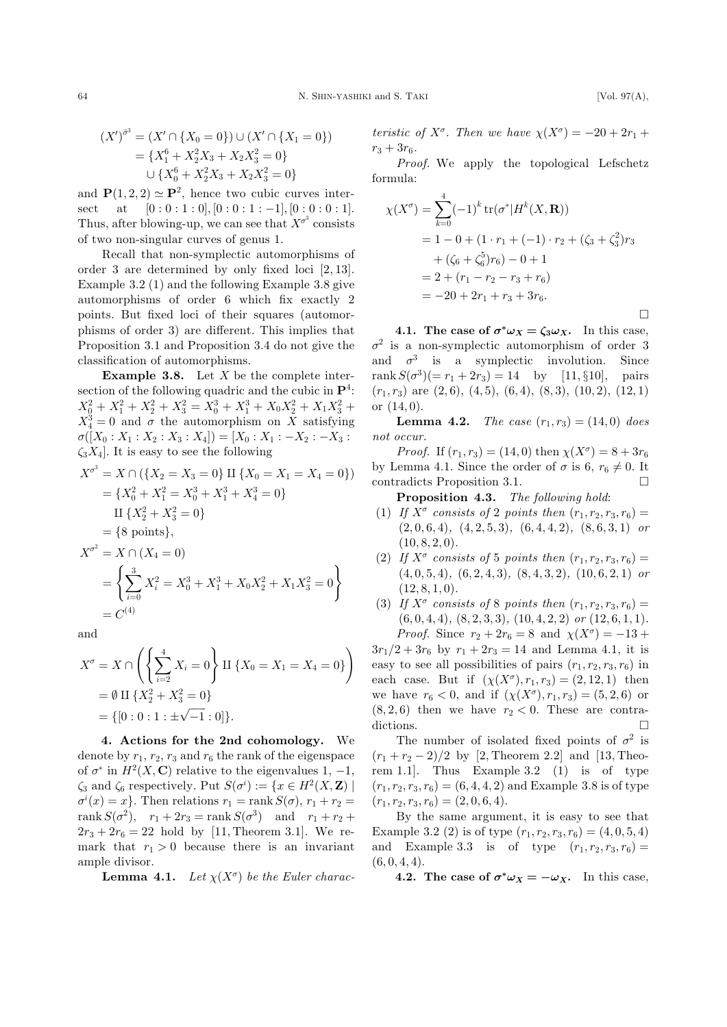[Vol. 97 $(A)$ ,

$$
(X')^{\sigma\sigma} = (X'\cap \{X_0 = 0\}) \cup (X'\cap \{X_1 = 0\})
$$
  
=  $\{X_1^6 + X_2^2X_3 + X_2X_3^2 = 0\}$   
 $\cup \{X_0^6 + X_2^2X_3 + X_2X_3^2 = 0\}$ 

and  $\mathbf{P}(1,2,2) \simeq \mathbf{P}^2$ , hence two cubic curves interat  $[0:0:1:0], [0:0:1:-1], [0:0:0:1].$ sect Thus, after blowing-up, we can see that  $X^{\sigma^3}$  consists of two non-singular curves of genus 1.

Recall that non-symplectic automorphisms of order 3 are determined by only fixed loci  $[2, 13]$ . Example  $3.2$  (1) and the following Example 3.8 give automorphisms of order 6 which fix exactly 2 points. But fixed loci of their squares (automorphisms of order 3) are different. This implies that Proposition 3.1 and Proposition 3.4 do not give the classification of automorphisms.

**Example 3.8.** Let  $X$  be the complete intersection of the following quadric and the cubic in  $\mathbf{P}^4$ :  $X_0^2 + X_1^2 + X_2^2 + X_3^2 = X_0^3 + X_1^3 + X_0X_2^2 + X_1X_3^2 +$  $X_4^3 = 0$  and  $\sigma$  the automorphism on X satisfying  $\sigma([X_0:X_1:X_2:X_3:X_4])=[X_0:X_1:-X_2:-X_3:$  $\zeta_3 X_4$ . It is easy to see the following

$$
X^{\sigma^3} = X \cap (\{X_2 = X_3 = 0\} \amalg \{X_0 = X_1 = X_4 = 0\})
$$
  
=  $\{X_0^2 + X_1^2 = X_0^3 + X_1^3 + X_4^3 = 0\}$   
 $\amalg \{X_2^2 + X_3^2 = 0\}$   
=  $\{8 \text{ points}\},$   

$$
X^{\sigma^2} = X \cap (X_4 = 0)
$$
  
=  $\left\{\sum_{i=0}^3 X_i^2 = X_0^3 + X_1^3 + X_0 X_2^2 + X_1 X_3^2 = 0\right\}$   
=  $C^{(4)}$ 

and

$$
X^{\sigma} = X \cap \left( \left\{ \sum_{i=2}^{4} X_i = 0 \right\} \amalg \{ X_0 = X_1 = X_4 = 0 \} \right)
$$
  
=  $\emptyset$   $\amalg \{ X_2^2 + X_3^2 = 0 \}$   
=  $\{ [0:0:1: \pm \sqrt{-1}:0] \}.$ 

4. Actions for the 2nd cohomology. We denote by  $r_1, r_2, r_3$  and  $r_6$  the rank of the eigenspace of  $\sigma^*$  in  $H^2(X, \mathbf{C})$  relative to the eigenvalues 1, -1,  $\zeta_3$  and  $\zeta_6$  respectively. Put  $S(\sigma^i) := \{x \in H^2(X, \mathbf{Z})\}\$  $\sigma^{i}(x) = x$ . Then relations  $r_1 = \text{rank } S(\sigma)$ ,  $r_1 + r_2 =$ rank  $S(\sigma^2)$ ,  $r_1 + 2r_3 = \text{rank } S(\sigma^3)$  and  $r_1 + r_2 +$  $2r_3 + 2r_6 = 22$  hold by [11, Theorem 3.1]. We remark that  $r_1 > 0$  because there is an invariant ample divisor.

**Lemma 4.1.** Let  $\chi(X^{\sigma})$  be the Euler charac-

teristic of  $X^{\sigma}$ . Then we have  $\chi(X^{\sigma}) = -20 + 2r_1 +$  $r_3 + 3r_6$ .

*Proof.* We apply the topological Lefschetz formula:

$$
\chi(X^{\sigma}) = \sum_{k=0}^{4} (-1)^{k} tr(\sigma^{*}|H^{k}(X, \mathbf{R}))
$$
  
= 1 - 0 + (1 \cdot r\_{1} + (-1) \cdot r\_{2} + (\zeta\_{3} + \zeta\_{3}^{2})r\_{3}  
+ (\zeta\_{6} + \zeta\_{6}^{5})r\_{6}) - 0 + 1  
= 2 + (r\_{1} - r\_{2} - r\_{3} + r\_{6})  
= -20 + 2r\_{1} + r\_{3} + 3r\_{6}.

4.1. The case of  $\sigma^* \omega_X = \zeta_3 \omega_X$ . In this case,  $\sigma^2$  is a non-symplectic automorphism of order 3 and  $\sigma^3$  is a symplectic involution. Since rank  $S(\sigma^3)(=r_1+2r_3)=14$  by [11, §10], pairs  $(r_1, r_3)$  are  $(2, 6)$ ,  $(4, 5)$ ,  $(6, 4)$ ,  $(8, 3)$ ,  $(10, 2)$ ,  $(12, 1)$ or  $(14,0)$ .

**Lemma 4.2.** The case  $(r_1, r_3) = (14, 0)$  does not occur.

*Proof.* If  $(r_1, r_3) = (14, 0)$  then  $\chi(X^{\sigma}) = 8 + 3r_6$ by Lemma 4.1. Since the order of  $\sigma$  is 6,  $r_6 \neq 0$ . It contradicts Proposition 3.1.

**Proposition 4.3.** The following hold:

- (1) If  $X^{\sigma}$  consists of 2 points then  $(r_1, r_2, r_3, r_6)$  =  $(2,0,6,4), (4,2,5,3), (6,4,4,2), (8,6,3,1)$  or  $(10, 8, 2, 0).$
- (2) If  $X^{\sigma}$  consists of 5 points then  $(r_1, r_2, r_3, r_6)$  =  $(4,0,5,4), (6,2,4,3), (8,4,3,2), (10,6,2,1)$  or  $(12, 8, 1, 0).$
- (3) If  $X^{\sigma}$  consists of 8 points then  $(r_1, r_2, r_3, r_6)$  =  $(6,0,4,4), (8,2,3,3), (10,4,2,2)$  or  $(12,6,1,1).$ *Proof.* Since  $r_2 + 2r_6 = 8$  and  $\chi(X^{\sigma}) = -13 +$

 $3r_1/2 + 3r_6$  by  $r_1 + 2r_3 = 14$  and Lemma 4.1, it is easy to see all possibilities of pairs  $(r_1, r_2, r_3, r_6)$  in each case. But if  $(\chi(X^{\sigma}), r_1, r_3) = (2, 12, 1)$  then we have  $r_6 < 0$ , and if  $(\chi(X^{\sigma}), r_1, r_3) = (5, 2, 6)$  or  $(8,2,6)$  then we have  $r_2 < 0$ . These are contradictions.  $\Box$ 

The number of isolated fixed points of  $\sigma^2$  is  $(r_1 + r_2 - 2)/2$  by [2, Theorem 2.2] and [13, Theorem 1.1. Thus Example 3.2  $(1)$  is of type  $(r_1, r_2, r_3, r_6) = (6, 4, 4, 2)$  and Example 3.8 is of type  $(r_1, r_2, r_3, r_6) = (2, 0, 6, 4).$ 

By the same argument, it is easy to see that Example 3.2 (2) is of type  $(r_1, r_2, r_3, r_6) = (4, 0, 5, 4)$ and Example 3.3 is of type  $(r_1, r_2, r_3, r_6)$  =  $(6, 0, 4, 4).$ 

4.2. The case of  $\sigma^* \omega_X = -\omega_X$ . In this case,

 $\Box$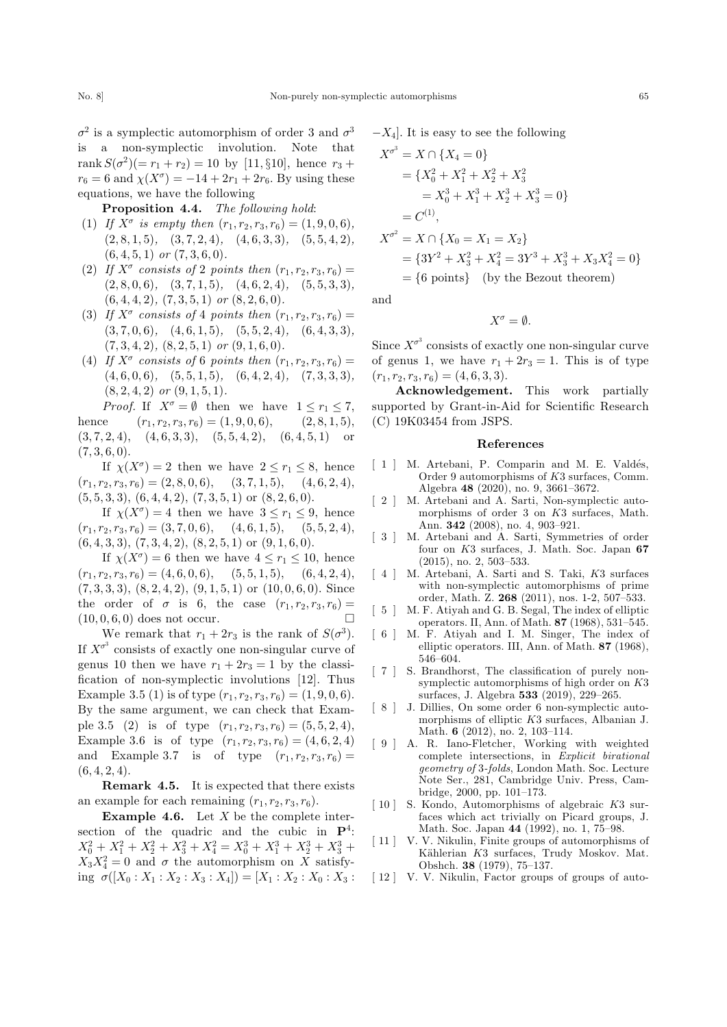$\sigma^2$  is a symplectic automorphism of order 3 and  $\sigma^3$ is a non-symplectic involution. Note that rank  $S(\sigma^2)(=r_1+r_2)=10$  by [11, §10], hence  $r_3$  +  $r_6 = 6$  and  $\chi(X^{\sigma}) = -14 + 2r_1 + 2r_6$ . By using these equations, we have the following

Proposition 4.4. The following hold:

- (1) If  $X^{\sigma}$  is empty then  $(r_1, r_2, r_3, r_6) = (1, 9, 0, 6),$  $(2, 8, 1, 5), (3, 7, 2, 4), (4, 6, 3, 3), (5, 5, 4, 2),$  $(6, 4, 5, 1)$  or  $(7, 3, 6, 0)$ .
- (2) If  $X^{\sigma}$  consists of 2 points then  $(r_1, r_2, r_3, r_6) =$  $(2, 8, 0, 6), (3, 7, 1, 5), (4, 6, 2, 4), (5, 5, 3, 3),$  $(6, 4, 4, 2), (7, 3, 5, 1)$  or  $(8, 2, 6, 0)$ .
- (3) If  $X^{\sigma}$  consists of 4 points then  $(r_1, r_2, r_3, r_6) =$  $(3, 7, 0, 6), (4, 6, 1, 5), (5, 5, 2, 4), (6, 4, 3, 3),$  $(7, 3, 4, 2), (8, 2, 5, 1)$  or  $(9, 1, 6, 0)$ .
- (4) If  $X^{\sigma}$  consists of 6 points then  $(r_1, r_2, r_3, r_6) =$  $(4, 6, 0, 6), (5, 5, 1, 5), (6, 4, 2, 4), (7, 3, 3, 3),$  $(8, 2, 4, 2)$  or  $(9, 1, 5, 1)$ .

*Proof.* If  $X^{\sigma} = \emptyset$  then we have  $1 \leq r_1 \leq 7$ , hence  $(r_1, r_2, r_3, r_6) = (1, 9, 0, 6),$   $(2, 8, 1, 5),$  $(3, 7, 2, 4), (4, 6, 3, 3), (5, 5, 4, 2), (6, 4, 5, 1)$  or  $(7, 3, 6, 0).$ 

If  $\chi(X^{\sigma}) = 2$  then we have  $2 \leq r_1 \leq 8$ , hence  $(r_1, r_2, r_3, r_6) = (2, 8, 0, 6), \quad (3, 7, 1, 5), \quad (4, 6, 2, 4),$  $(5, 5, 3, 3), (6, 4, 4, 2), (7, 3, 5, 1)$  or  $(8, 2, 6, 0)$ .

If  $\chi(X^{\sigma}) = 4$  then we have  $3 \leq r_1 \leq 9$ , hence  $(r_1, r_2, r_3, r_6) = (3, 7, 0, 6), \quad (4, 6, 1, 5), \quad (5, 5, 2, 4),$  $(6, 4, 3, 3), (7, 3, 4, 2), (8, 2, 5, 1)$  or  $(9, 1, 6, 0)$ .

If  $\chi(X^{\sigma}) = 6$  then we have  $4 \leq r_1 \leq 10$ , hence  $(r_1, r_2, r_3, r_6) = (4, 6, 0, 6), (5, 5, 1, 5), (6, 4, 2, 4),$  $(7, 3, 3, 3), (8, 2, 4, 2), (9, 1, 5, 1)$  or  $(10, 0, 6, 0)$ . Since the order of  $\sigma$  is 6, the case  $(r_1, r_2, r_3, r_6) =$  $(10, 0, 6, 0)$  does not occur.

We remark that  $r_1 + 2r_3$  is the rank of  $S(\sigma^3)$ . If  $X^{\sigma^3}$  consists of exactly one non-singular curve of genus 10 then we have  $r_1 + 2r_3 = 1$  by the classification of non-symplectic involutions [12]. Thus Example 3.5 (1) is of type  $(r_1, r_2, r_3, r_6) = (1, 9, 0, 6).$ By the same argument, we can check that Example 3.5 (2) is of type  $(r_1, r_2, r_3, r_6) = (5, 5, 2, 4)$ , Example 3.6 is of type  $(r_1, r_2, r_3, r_6) = (4, 6, 2, 4)$ and Example 3.7 is of type  $(r_1, r_2, r_3, r_6)$  =  $(6, 4, 2, 4).$ 

Remark 4.5. It is expected that there exists an example for each remaining  $(r_1, r_2, r_3, r_6)$ .

**Example 4.6.** Let  $X$  be the complete intersection of the quadric and the cubic in  $\mathbf{P}^4$ :  $X_0^2 + X_1^2 + X_2^2 + X_3^2 + X_4^2 = X_0^3 + X_1^3 + X_2^3 + X_3^3 +$  $X_3 X_4^2 = 0$  and  $\sigma$  the automorphism on X satisfying  $\sigma([X_0 : X_1 : X_2 : X_3 : X_4]) = [X_1 : X_2 : X_0 : X_3 :$ 

$$
-X_4
$$
. It is easy to see the following

$$
X^{\sigma^3} = X \cap \{X_4 = 0\}
$$
  
=  $\{X_0^2 + X_1^2 + X_2^2 + X_3^2$   
=  $X_0^3 + X_1^3 + X_2^3 + X_3^3 = 0\}$   
=  $C^{(1)}$ ,  

$$
X^{\sigma^2} = X \cap \{X_0 = X_1 = X_2\}
$$
  
=  $\{3Y^2 + X_3^2 + X_4^2 = 3Y^3 + X_3^3 + X_3X_4^2 = 0\}$   
=  $\{6 \text{ points}\}$  (by the Bezout theorem)

and

 $X^{\sigma} = \emptyset.$ 

Since  $X^{\sigma^3}$  consists of exactly one non-singular curve of genus 1, we have  $r_1 + 2r_3 = 1$ . This is of type  $(r_1, r_2, r_3, r_6) = (4, 6, 3, 3).$ 

Acknowledgement. This work partially supported by Grant-in-Aid for Scientific Research (C) 19K03454 from JSPS.

## References

- [ 1 ] M. Artebani, P. Comparin and M. E. Valdés, Order 9 automorphisms of K3 surfaces, Comm. Algebra 48 (2020), no. 9, 3661–3672.
- [ 2 ] M. Artebani and A. Sarti, Non-symplectic automorphisms of order 3 on K3 surfaces, Math. Ann. 342 (2008), no. 4, 903–921.
- [ 3 ] M. Artebani and A. Sarti, Symmetries of order four on K3 surfaces, J. Math. Soc. Japan 67 (2015), no. 2, 503–533.
- [ 4 ] M. Artebani, A. Sarti and S. Taki, K3 surfaces with non-symplectic automorphisms of prime order, Math. Z. 268 (2011), nos. 1-2, 507–533.
- [ 5 ] M. F. Atiyah and G. B. Segal, The index of elliptic operators. II, Ann. of Math. 87 (1968), 531–545.
- [ 6 ] M. F. Atiyah and I. M. Singer, The index of elliptic operators. III, Ann. of Math. 87 (1968), 546–604.
- [ 7 ] S. Brandhorst, The classification of purely nonsymplectic automorphisms of high order on K3 surfaces, J. Algebra 533 (2019), 229–265.
- [ 8 ] J. Dillies, On some order 6 non-symplectic automorphisms of elliptic K3 surfaces, Albanian J. Math. 6 (2012), no. 2, 103–114.
- [ 9 ] A. R. Iano-Fletcher, Working with weighted complete intersections, in Explicit birational geometry of 3-folds, London Math. Soc. Lecture Note Ser., 281, Cambridge Univ. Press, Cambridge, 2000, pp. 101–173.
- [ 10 ] S. Kondo, Automorphisms of algebraic K3 surfaces which act trivially on Picard groups, J. Math. Soc. Japan 44 (1992), no. 1, 75–98.
- [11] V. V. Nikulin, Finite groups of automorphisms of Kählerian K3 surfaces, Trudy Moskov. Mat. Obshch. 38 (1979), 75–137.
- [ 12 ] V. V. Nikulin, Factor groups of groups of auto-